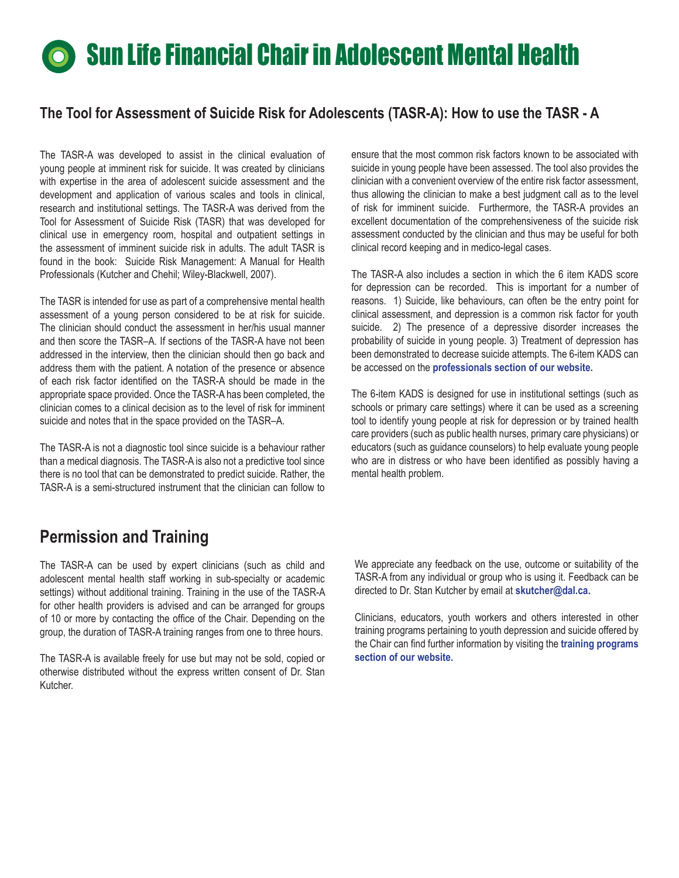## **Sun Life Financial Chair in Adolescent Mental Health**

## **The Tool for Assessment of Suicide Risk for Adolescents (TASR-A): How to use the TASR - A**

The TASR-A was developed to assist in the clinical evaluation of young people at imminent risk for suicide. It was created by clinicians with expertise in the area of adolescent suicide assessment and the development and application of various scales and tools in clinical, research and institutional settings. The TASR-A was derived from the Tool for Assessment of Suicide Risk (TASR) that was developed for clinical use in emergency room, hospital and outpatient settings in the assessment of imminent suicide risk in adults. The adult TASR is found in the book: Suicide Risk Management: A Manual for Health Professionals (Kutcher and Chehil; Wiley-Blackwell, 2007).

The TASR is intended for use as part of a comprehensive mental health assessment of a young person considered to be at risk for suicide. The clinician should conduct the assessment in her/his usual manner and then score the TASR–A. If sections of the TASR-A have not been addressed in the interview, then the clinician should then go back and address them with the patient. A notation of the presence or absence of each risk factor identified on the TASR-A should be made in the appropriate space provided. Once the TASR-A has been completed, the clinician comes to a clinical decision as to the level of risk for imminent suicide and notes that in the space provided on the TASR–A.

The TASR-A is not a diagnostic tool since suicide is a behaviour rather than a medical diagnosis. The TASR-A is also not a predictive tool since there is no tool that can be demonstrated to predict suicide. Rather, the TASR-A is a semi-structured instrument that the clinician can follow to

ensure that the most common risk factors known to be associated with suicide in young people have been assessed. The tool also provides the clinician with a convenient overview of the entire risk factor assessment, thus allowing the clinician to make a best judgment call as to the level of risk for imminent suicide. Furthermore, the TASR-A provides an excellent documentation of the comprehensiveness of the suicide risk assessment conducted by the clinician and thus may be useful for both clinical record keeping and in medico-legal cases.

The TASR-A also includes a section in which the 6 item KADS score for depression can be recorded. This is important for a number of reasons. 1) Suicide, like behaviours, can often be the entry point for clinical assessment, and depression is a common risk factor for youth suicide. 2) The presence of a depressive disorder increases the probability of suicide in young people. 3) Treatment of depression has been demonstrated to decrease suicide attempts. The 6-item KADS can be accessed on the **[professionals section of our website.](http://www.teenmentalhealth.org/pros_clinical.php)**

The 6-item KADS is designed for use in institutional settings (such as schools or primary care settings) where it can be used as a screening tool to identify young people at risk for depression or by trained health care providers (such as public health nurses, primary care physicians) or educators (such as guidance counselors) to help evaluate young people who are in distress or who have been identified as possibly having a mental health problem.

## **Permission and Training**

The TASR-A can be used by expert clinicians (such as child and adolescent mental health staff working in sub-specialty or academic settings) without additional training. Training in the use of the TASR-A for other health providers is advised and can be arranged for groups of 10 or more by contacting the office of the Chair. Depending on the group, the duration of TASR-A training ranges from one to three hours.

The TASR-A is available freely for use but may not be sold, copied or otherwise distributed without the express written consent of Dr. Stan Kutcher.

We appreciate any feedback on the use, outcome or suitability of the TASR-A from any individual or group who is using it. Feedback can be directed to Dr. Stan Kutcher by email at **skutcher@dal.ca.**

Clinicians, educators, youth workers and others interested in other training programs pertaining to youth depression and suicide offered by [the Chair can find further information by visiting the](http://www.teenmentalhealth.org/pros_projects.php) **training programs section of our website.**